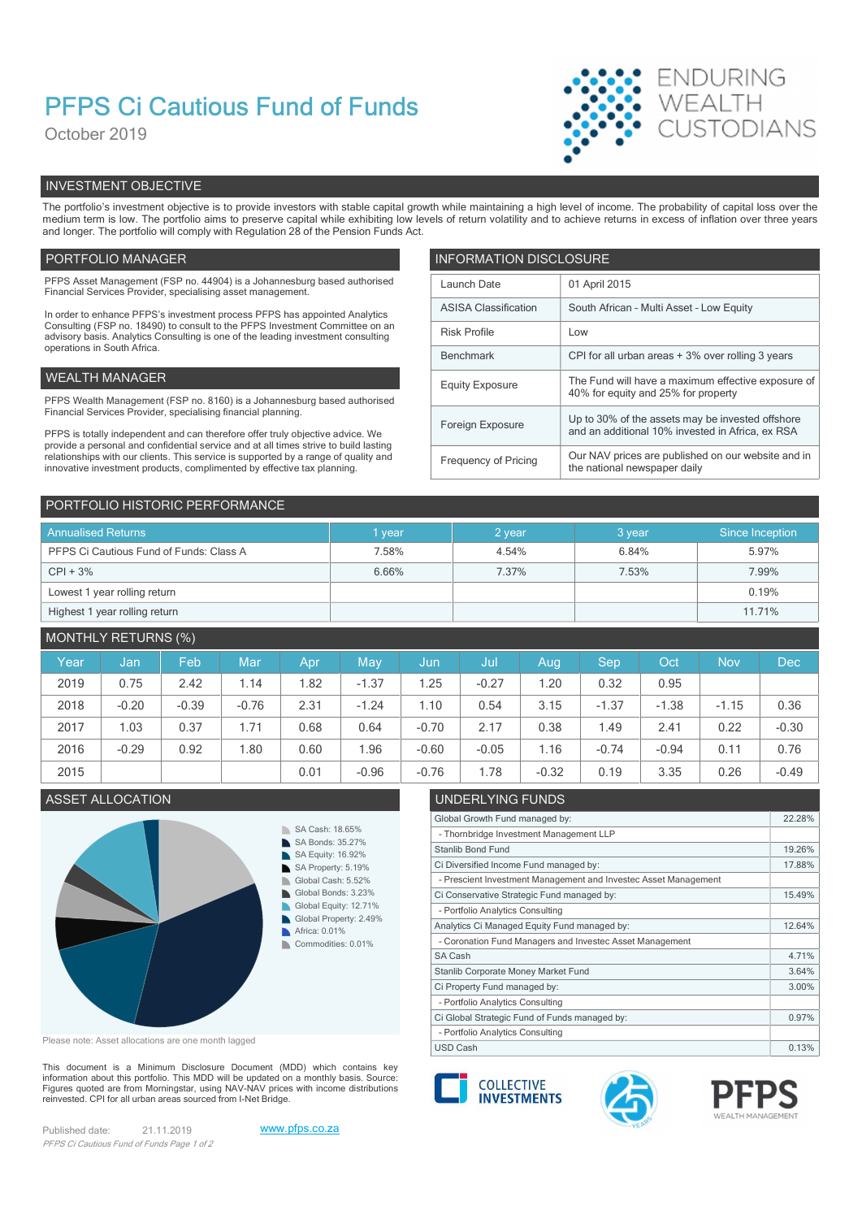# PFPS Ci Cautious Fund of Funds

October 2019



# INVESTMENT OBJECTIVE

The portfolio's investment objective is to provide investors with stable capital growth while maintaining a high level of income. The probability of capital loss over the medium term is low. The portfolio aims to preserve capital while exhibiting low levels of return volatility and to achieve returns in excess of inflation over three years and longer. The portfolio will comply with Regulation 28 of the Pension Funds Act.

# PORTFOLIO MANAGER **INFORMATION DISCLOSURE**

| PFPS Asset Management (FSP no. 44904) is a Johannesburg based authorised<br>Financial Services Provider, specialising asset management.                                | Launch Date                 | 01 April 2015                                                                                        |  |  |
|------------------------------------------------------------------------------------------------------------------------------------------------------------------------|-----------------------------|------------------------------------------------------------------------------------------------------|--|--|
| In order to enhance PFPS's investment process PFPS has appointed Analytics                                                                                             | <b>ASISA Classification</b> | South African - Multi Asset - Low Equity                                                             |  |  |
| Consulting (FSP no. 18490) to consult to the PFPS Investment Committee on an<br>advisory basis. Analytics Consulting is one of the leading investment consulting       | <b>Risk Profile</b>         | Low                                                                                                  |  |  |
| operations in South Africa.                                                                                                                                            | Benchmark                   | CPI for all urban areas + 3% over rolling 3 years                                                    |  |  |
| WEALTH MANAGER                                                                                                                                                         | <b>Equity Exposure</b>      | The Fund will have a maximum effective exposure of<br>40% for equity and 25% for property            |  |  |
| PFPS Wealth Management (FSP no. 8160) is a Johannesburg based authorised                                                                                               |                             |                                                                                                      |  |  |
| Financial Services Provider, specialising financial planning.                                                                                                          | Foreign Exposure            | Up to 30% of the assets may be invested offshore<br>and an additional 10% invested in Africa, ex RSA |  |  |
| PFPS is totally independent and can therefore offer truly objective advice. We<br>provide a personal and confidential service and at all times strive to build lasting |                             |                                                                                                      |  |  |
| relationships with our clients. This service is supported by a range of quality and<br>innovative investment products, complimented by effective tax planning.         | Frequency of Pricing        | Our NAV prices are published on our website and in<br>the national newspaper daily                   |  |  |
|                                                                                                                                                                        |                             |                                                                                                      |  |  |

| PORTFOLIO HISTORIC PERFORMANCE          |        |        |        |                 |  |  |  |
|-----------------------------------------|--------|--------|--------|-----------------|--|--|--|
| <b>Annualised Returns</b>               | 1 year | 2 year | 3 year | Since Inception |  |  |  |
| PFPS Ci Cautious Fund of Funds: Class A | 7.58%  | 4.54%  | 6.84%  | 5.97%           |  |  |  |
| $CPI + 3%$                              | 6.66%  | 7.37%  | 7.53%  | 7.99%           |  |  |  |
| Lowest 1 year rolling return            |        |        |        | 0.19%           |  |  |  |
| Highest 1 year rolling return           |        |        |        | 11.71%          |  |  |  |

# MONTHLY RETURNS (%)

| Year | Uan,    | Feb     | Mar     | Apr  | May     | /Jun    | Jul     | Aug     | <b>Sep</b> | Oct     | <b>Nov</b> | <b>Dec</b> |
|------|---------|---------|---------|------|---------|---------|---------|---------|------------|---------|------------|------------|
| 2019 | 0.75    | 2.42    | 1.14    | .82  | $-1.37$ | 1.25    | $-0.27$ | .20     | 0.32       | 0.95    |            |            |
| 2018 | $-0.20$ | $-0.39$ | $-0.76$ | 2.31 | $-1.24$ | 1.10    | 0.54    | 3.15    | $-1.37$    | $-1.38$ | $-1.15$    | 0.36       |
| 2017 | .03     | 0.37    | 1.71    | 0.68 | 0.64    | $-0.70$ | 2.17    | 0.38    | 1.49       | 2.41    | 0.22       | $-0.30$    |
| 2016 | $-0.29$ | 0.92    | 1.80    | 0.60 | .96     | $-0.60$ | $-0.05$ | 1.16    | $-0.74$    | $-0.94$ | 0.11       | 0.76       |
| 2015 |         |         |         | 0.01 | $-0.96$ | $-0.76$ | .78     | $-0.32$ | 0.19       | 3.35    | 0.26       | $-0.49$    |



Please note: Asset allocations are one month lagged

This document is a Minimum Disclosure Document (MDD) which contains key Financial about this portfolio. This MDD will be updated on a monthly basis. Source:<br>Finances quoted are from Morningstar, using NAV-NAV prices with income distributions Figures quoted are from Morningstar, using NAV-NAV prices with income distributions<br>reinvested. CPI for all urban areas sourced from I-Net Bridge.

Published date: 21.11.2019 www.pfps.co.za PFPS Ci Cautious Fund of Funds Page 1 of 2